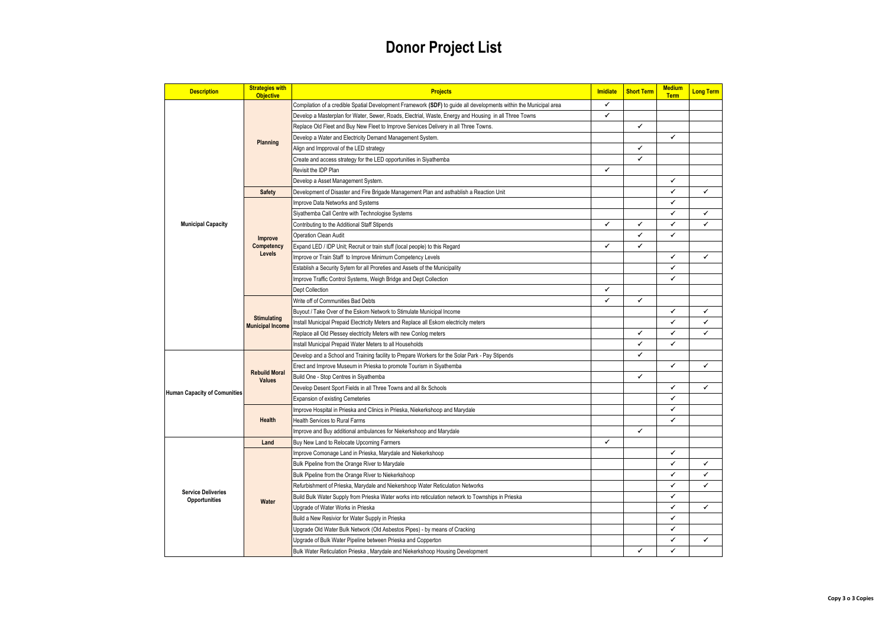## **Donor Project List**

| <b>Description</b>                         | <b>Strategies with</b><br><b>Objective</b>    | <b>Projects</b>                                                                                                   | Imidiate     | <b>Short Term</b> | <b>Medium</b><br><b>Term</b> | <b>Long Term</b> |
|--------------------------------------------|-----------------------------------------------|-------------------------------------------------------------------------------------------------------------------|--------------|-------------------|------------------------------|------------------|
|                                            |                                               | Compilation of a credible Spatial Development Framework (SDF) to guide all developments within the Municipal area | ✓            |                   |                              |                  |
|                                            |                                               | Develop a Masterplan for Water, Sewer, Roads, Electrial, Waste, Energy and Housing in all Three Towns             | ✓            |                   |                              |                  |
|                                            |                                               | Replace Old Fleet and Buy New Fleet to Improve Services Delivery in all Three Towns.                              |              | ✓                 |                              |                  |
|                                            | Planning                                      | Develop a Water and Electricity Demand Management System.                                                         |              |                   | $\checkmark$                 |                  |
|                                            |                                               | Align and Impproval of the LED strategy                                                                           |              | ✓                 |                              |                  |
|                                            |                                               | Create and access strategy for the LED opportunities in Siyathemba                                                |              | ✓                 |                              |                  |
|                                            |                                               | Revisit the IDP Plan                                                                                              | ✓            |                   |                              |                  |
|                                            |                                               | Develop a Asset Management System.                                                                                |              |                   | $\checkmark$                 |                  |
|                                            | <b>Safety</b>                                 | Development of Disaster and Fire Brigade Management Plan and asthablish a Reaction Unit                           |              |                   | ✓                            | ✓                |
|                                            |                                               | mprove Data Networks and Systems                                                                                  |              |                   | ✓                            |                  |
|                                            |                                               | Siyathemba Call Centre with Technologise Systems                                                                  |              |                   | ✓                            | ✓                |
| <b>Municipal Capacity</b>                  |                                               | Contributing to the Additional Staff Stipends                                                                     | $\checkmark$ | ✓                 | ✓                            | ✓                |
|                                            | Improve                                       | Operation Clean Audit                                                                                             |              | ✓                 | ✓                            |                  |
|                                            | Competency                                    | Expand LED / IDP Unit; Recruit or train stuff (local people) to this Regard                                       | ✓            | ✓                 |                              |                  |
|                                            | Levels                                        | mprove or Train Staff to Improve Minimum Competency Levels                                                        |              |                   | ✓                            | ✓                |
|                                            |                                               | Establish a Security Sytem for all Proreties and Assets of the Municipality                                       |              |                   | ✓                            |                  |
|                                            |                                               | mprove Traffic Control Systems, Weigh Bridge and Dept Collection                                                  |              |                   | ✓                            |                  |
|                                            |                                               | Dept Collection                                                                                                   | $\checkmark$ |                   |                              |                  |
|                                            |                                               | Write off of Communities Bad Debts                                                                                | $\checkmark$ | ✓                 |                              |                  |
|                                            |                                               | Buyout / Take Over of the Eskom Network to Stimulate Municipal Income                                             |              |                   | ✓                            | ✓                |
|                                            | <b>Stimulating</b><br><b>Municipal Income</b> | nstall Municipal Prepaid Electricity Meters and Replace all Eskom electricity meters                              |              |                   | ✓                            | ✓                |
|                                            |                                               | Replace all Old Plessey electricity Meters with new Conlog meters                                                 |              | ✓                 | ✓                            | ✓                |
|                                            |                                               | Install Municipal Prepaid Water Meters to all Households                                                          |              | ✓                 | ✓                            |                  |
|                                            | <b>Rebuild Moral</b><br><b>Values</b>         | Develop and a School and Training facility to Prepare Workers for the Solar Park - Pay Stipends                   |              | ✓                 |                              |                  |
|                                            |                                               | Erect and Improve Museum in Prieska to promote Tourism in Siyathemba                                              |              |                   | ✓                            | ✓                |
|                                            |                                               | Build One - Stop Centres in Siyathemba                                                                            |              | ✓                 |                              |                  |
|                                            |                                               | Develop Desent Sport Fields in all Three Towns and all 8x Schools                                                 |              |                   | $\checkmark$                 | $\checkmark$     |
| <b>Human Capacity of Comunities</b>        |                                               | Expansion of existing Cemeteries                                                                                  |              |                   | ✓                            |                  |
|                                            | Health                                        | mprove Hospital in Prieska and Clinics in Prieska, Niekerkshoop and Marydale                                      |              |                   | ✓                            |                  |
|                                            |                                               | Health Services to Rural Farms                                                                                    |              |                   | ✓                            |                  |
|                                            |                                               | mprove and Buy additional ambulances for Niekerkshoop and Marydale                                                |              | ✓                 |                              |                  |
|                                            | Land                                          | Buy New Land to Relocate Upcoming Farmers                                                                         | $\checkmark$ |                   |                              |                  |
|                                            | Water                                         | mprove Comonage Land in Prieska, Marydale and Niekerkshoop                                                        |              |                   | ✓                            |                  |
| <b>Service Deliveries</b><br>Opportunities |                                               | Bulk Pipeline from the Orange River to Marydale                                                                   |              |                   | ✓                            | $\checkmark$     |
|                                            |                                               | Bulk Pipeline from the Orange River to Niekerkshoop                                                               |              |                   | ✓                            | ✓                |
|                                            |                                               | Refurbishment of Prieska, Marydale and Niekershoop Water Reticulation Networks                                    |              |                   | $\checkmark$                 | $\checkmark$     |
|                                            |                                               | Build Bulk Water Supply from Prieska Water works into reticulation network to Townships in Prieska                |              |                   | ✓                            |                  |
|                                            |                                               | Upgrade of Water Works in Prieska                                                                                 |              |                   | $\checkmark$                 | $\checkmark$     |
|                                            |                                               | Build a New Resivior for Water Supply in Prieska                                                                  |              |                   | ✓                            |                  |
|                                            |                                               | Upgrade Old Water Bulk Network (Old Asbestos Pipes) - by means of Cracking                                        |              |                   | ✓                            |                  |
|                                            |                                               | Upgrade of Bulk Water Pipeline between Prieska and Copperton                                                      |              |                   | ✓                            | $\checkmark$     |
|                                            |                                               | Bulk Water Reticulation Prieska, Marydale and Niekerkshoop Housing Development                                    |              | ✓                 | ✓                            |                  |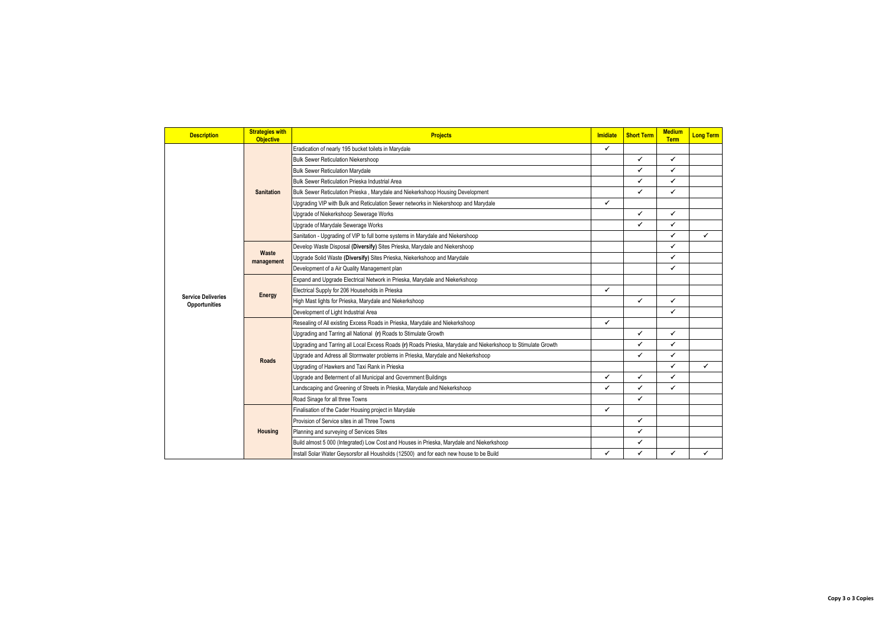| <b>Description</b>                         | <b>Strategies with</b><br><b>Objective</b> | <b>Projects</b>                                                                                               | <b>Imidiate</b> | <b>Short Term</b> | <b>Medium</b><br><b>Term</b> | <b>Long Term</b> |
|--------------------------------------------|--------------------------------------------|---------------------------------------------------------------------------------------------------------------|-----------------|-------------------|------------------------------|------------------|
|                                            | <b>Sanitation</b>                          | Eradication of nearly 195 bucket toilets in Marydale                                                          | ✓               |                   |                              |                  |
|                                            |                                            | <b>Bulk Sewer Reticulation Niekershoop</b>                                                                    |                 | ✓                 | $\checkmark$                 |                  |
|                                            |                                            | <b>Bulk Sewer Reticulation Marydale</b>                                                                       |                 | ✓                 | ✓                            |                  |
|                                            |                                            | Bulk Sewer Reticulation Prieska Industrial Area                                                               |                 | ✓                 | ✓                            |                  |
|                                            |                                            | Bulk Sewer Reticulation Prieska, Marydale and Niekerkshoop Housing Development                                |                 | ✓                 | ✓                            |                  |
|                                            |                                            | Upgrading VIP with Bulk and Reticulation Sewer networks in Niekershoop and Marydale                           | ✓               |                   |                              |                  |
|                                            |                                            | Upgrade of Niekerkshoop Sewerage Works                                                                        |                 | ✓                 | ✓                            |                  |
|                                            |                                            | Upgrade of Marydale Sewerage Works                                                                            |                 | ✔                 | ✓                            |                  |
|                                            |                                            | Sanitation - Upgrading of VIP to full borne systems in Marydale and Niekershoop                               |                 |                   | ✓                            | $\checkmark$     |
|                                            |                                            | Develop Waste Disposal (Diversify) Sites Prieska, Marydale and Niekershoop                                    |                 |                   | ✓                            |                  |
|                                            | Waste<br>management                        | Upgrade Solid Waste (Diversify) Sites Prieska, Niekerkshoop and Marydale                                      |                 |                   | ✓                            |                  |
|                                            |                                            | Development of a Air Quality Management plan                                                                  |                 |                   | ✓                            |                  |
| <b>Service Deliveries</b><br>Opportunities | <b>Energy</b>                              | Expand and Upgrade Electrical Network in Prieska, Marydale and Niekerkshoop                                   |                 |                   |                              |                  |
|                                            |                                            | Electrical Supply for 206 Households in Prieska                                                               | ✓               |                   |                              |                  |
|                                            |                                            | High Mast lights for Prieska, Marydale and Niekerkshoop                                                       |                 | ✓                 | ✓                            |                  |
|                                            |                                            | Development of Light Industrial Area                                                                          |                 |                   | ✓                            |                  |
|                                            | <b>Roads</b>                               | Resealing of All existing Excess Roads in Prieska, Marydale and Niekerkshoop                                  | ✓               |                   |                              |                  |
|                                            |                                            | Upgrading and Tarring all National (r) Roads to Stimulate Growth                                              |                 | ✓                 | ✓                            |                  |
|                                            |                                            | Upgrading and Tarring all Local Excess Roads (r) Roads Prieska, Marydale and Niekerkshoop to Stimulate Growth |                 | ✓                 | ✓                            |                  |
|                                            |                                            | Upgrade and Adress all Stormwater problems in Prieska, Marydale and Niekerkshoop                              |                 | ✓                 | ✓                            |                  |
|                                            |                                            | Upgrading of Hawkers and Taxi Rank in Prieska                                                                 |                 |                   | ✓                            | $\checkmark$     |
|                                            |                                            | Upgrade and Beterment of all Municipal and Government Buildings                                               | ✓               | ✓                 | ✓                            |                  |
|                                            |                                            | Landscaping and Greening of Streets in Prieska, Marydale and Niekerkshoop                                     | ✓               | ✓                 | ✓                            |                  |
|                                            |                                            | Road Sinage for all three Towns                                                                               |                 | ✓                 |                              |                  |
|                                            | Housing                                    | Finalisation of the Cader Housing project in Marydale                                                         | ✔               |                   |                              |                  |
|                                            |                                            | Provision of Service sites in all Three Towns                                                                 |                 | ✓                 |                              |                  |
|                                            |                                            | Planning and surveying of Services Sites                                                                      |                 | ✓                 |                              |                  |
|                                            |                                            | Build almost 5 000 (Integrated) Low Cost and Houses in Prieska, Marydale and Niekerkshoop                     |                 | ✓                 |                              |                  |
|                                            |                                            | Install Solar Water Geysorsfor all Housholds (12500) and for each new house to be Build                       | ✓               | ✓                 | ✓                            | ✓                |